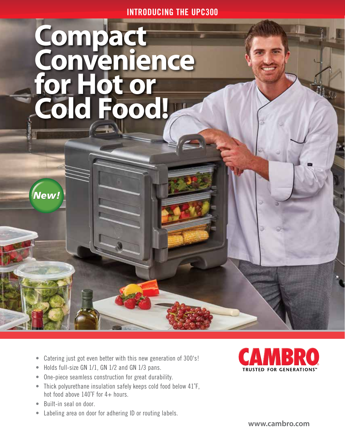INTRODUCING THE UPC300

## **Compact Convenience for Hot or Cold Food!**

- Catering just got even better with this new generation of 300's!
- Holds full-size GN 1/1, GN 1/2 and GN 1/3 pans.
- One-piece seamless construction for great durability.
- Thick polyurethane insulation safely keeps cold food below 41˚F, hot food above 140˚F for 4+ hours.
- Built-in seal on door.

New!

• Labeling area on door for adhering ID or routing labels.